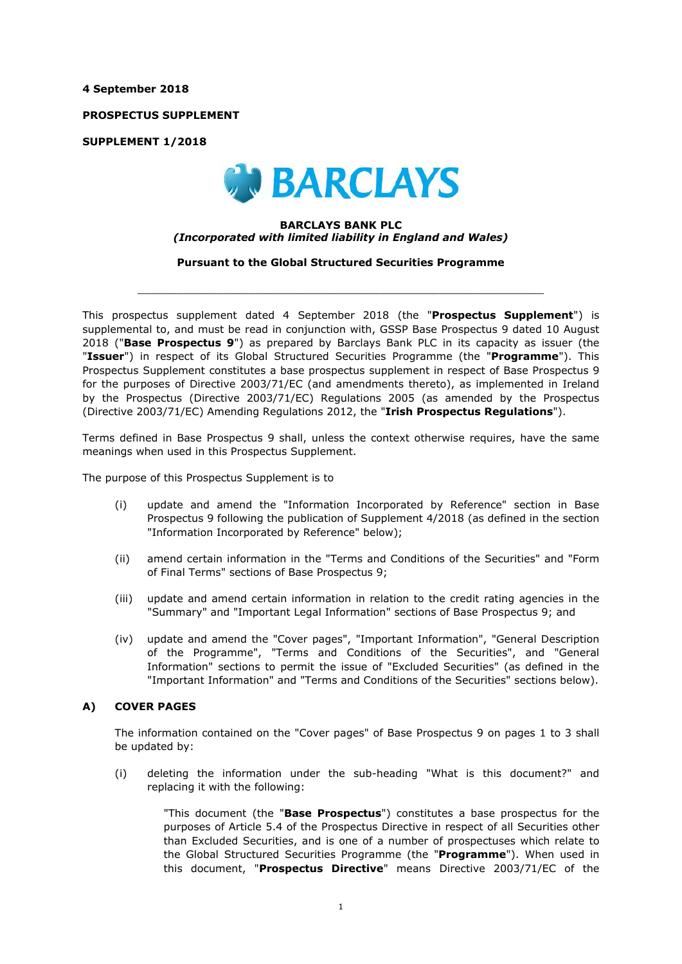**4 September 2018**

**PROSPECTUS SUPPLEMENT**

**SUPPLEMENT 1/2018**



#### **BARCLAYS BANK PLC** *(Incorporated with limited liability in England and Wales)*

**Pursuant to the Global Structured Securities Programme**

 $\_$  ,  $\_$  ,  $\_$  ,  $\_$  ,  $\_$  ,  $\_$  ,  $\_$  ,  $\_$  ,  $\_$  ,  $\_$  ,  $\_$  ,  $\_$  ,  $\_$  ,  $\_$  ,  $\_$  ,  $\_$  ,  $\_$  ,  $\_$  ,  $\_$  ,  $\_$  ,  $\_$  ,  $\_$  ,  $\_$  ,  $\_$  ,  $\_$  ,  $\_$  ,  $\_$  ,  $\_$  ,  $\_$  ,  $\_$  ,  $\_$  ,  $\_$  ,  $\_$  ,  $\_$  ,  $\_$  ,  $\_$  ,  $\_$  ,

This prospectus supplement dated 4 September 2018 (the "**Prospectus Supplement**") is supplemental to, and must be read in conjunction with, GSSP Base Prospectus 9 dated 10 August 2018 ("**Base Prospectus 9**") as prepared by Barclays Bank PLC in its capacity as issuer (the "**Issuer**") in respect of its Global Structured Securities Programme (the "**Programme**"). This Prospectus Supplement constitutes a base prospectus supplement in respect of Base Prospectus 9 for the purposes of Directive 2003/71/EC (and amendments thereto), as implemented in Ireland by the Prospectus (Directive 2003/71/EC) Regulations 2005 (as amended by the Prospectus (Directive 2003/71/EC) Amending Regulations 2012, the "**Irish Prospectus Regulations**").

Terms defined in Base Prospectus 9 shall, unless the context otherwise requires, have the same meanings when used in this Prospectus Supplement.

The purpose of this Prospectus Supplement is to

- (i) update and amend the "Information Incorporated by Reference" section in Base Prospectus 9 following the publication of Supplement 4/2018 (as defined in the section "Information Incorporated by Reference" below);
- (ii) amend certain information in the "Terms and Conditions of the Securities" and "Form of Final Terms" sections of Base Prospectus 9;
- (iii) update and amend certain information in relation to the credit rating agencies in the "Summary" and "Important Legal Information" sections of Base Prospectus 9; and
- (iv) update and amend the "Cover pages", "Important Information", "General Description of the Programme", "Terms and Conditions of the Securities", and "General Information" sections to permit the issue of "Excluded Securities" (as defined in the "Important Information" and "Terms and Conditions of the Securities" sections below).

## **A) COVER PAGES**

The information contained on the "Cover pages" of Base Prospectus 9 on pages 1 to 3 shall be updated by:

(i) deleting the information under the sub-heading "What is this document?" and replacing it with the following:

"This document (the "**Base Prospectus**") constitutes a base prospectus for the purposes of Article 5.4 of the Prospectus Directive in respect of all Securities other than Excluded Securities, and is one of a number of prospectuses which relate to the Global Structured Securities Programme (the "**Programme**"). When used in this document, "**Prospectus Directive**" means Directive 2003/71/EC of the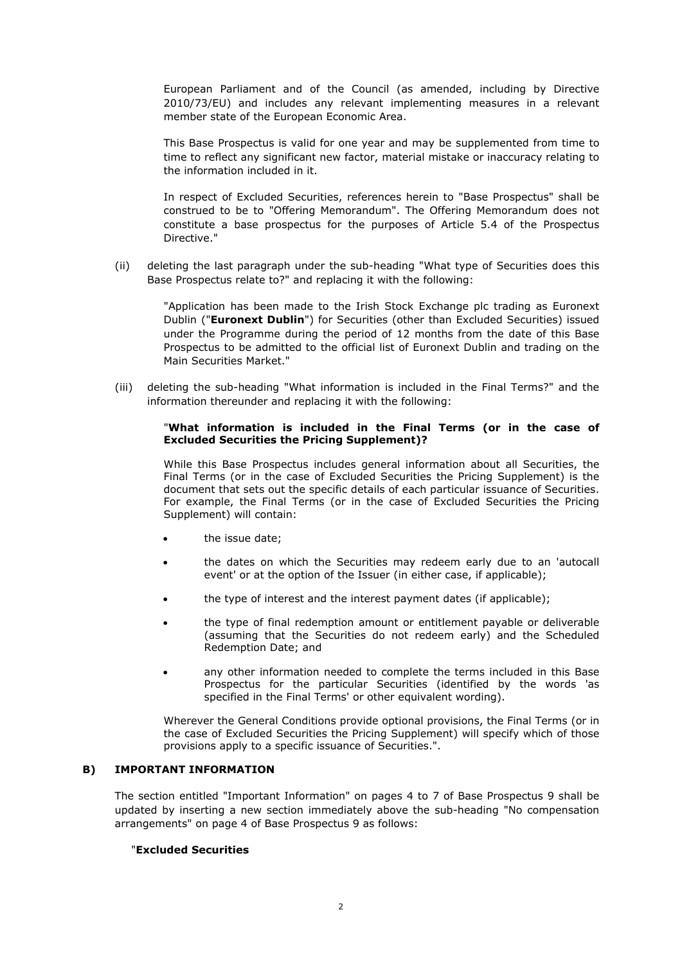European Parliament and of the Council (as amended, including by Directive 2010/73/EU) and includes any relevant implementing measures in a relevant member state of the European Economic Area.

This Base Prospectus is valid for one year and may be supplemented from time to time to reflect any significant new factor, material mistake or inaccuracy relating to the information included in it.

In respect of Excluded Securities, references herein to "Base Prospectus" shall be construed to be to "Offering Memorandum". The Offering Memorandum does not constitute a base prospectus for the purposes of Article 5.4 of the Prospectus Directive."

(ii) deleting the last paragraph under the sub-heading "What type of Securities does this Base Prospectus relate to?" and replacing it with the following:

"Application has been made to the Irish Stock Exchange plc trading as Euronext Dublin ("**Euronext Dublin**") for Securities (other than Excluded Securities) issued under the Programme during the period of 12 months from the date of this Base Prospectus to be admitted to the official list of Euronext Dublin and trading on the Main Securities Market."

(iii) deleting the sub-heading "What information is included in the Final Terms?" and the information thereunder and replacing it with the following:

#### "**What information is included in the Final Terms (or in the case of Excluded Securities the Pricing Supplement)?**

While this Base Prospectus includes general information about all Securities, the Final Terms (or in the case of Excluded Securities the Pricing Supplement) is the document that sets out the specific details of each particular issuance of Securities. For example, the Final Terms (or in the case of Excluded Securities the Pricing Supplement) will contain:

- the issue date;
- the dates on which the Securities may redeem early due to an 'autocall event' or at the option of the Issuer (in either case, if applicable);
- the type of interest and the interest payment dates (if applicable);
- the type of final redemption amount or entitlement payable or deliverable (assuming that the Securities do not redeem early) and the Scheduled Redemption Date; and
- any other information needed to complete the terms included in this Base Prospectus for the particular Securities (identified by the words 'as specified in the Final Terms' or other equivalent wording).

Wherever the General Conditions provide optional provisions, the Final Terms (or in the case of Excluded Securities the Pricing Supplement) will specify which of those provisions apply to a specific issuance of Securities.".

# **B) IMPORTANT INFORMATION**

The section entitled "Important Information" on pages 4 to 7 of Base Prospectus 9 shall be updated by inserting a new section immediately above the sub-heading "No compensation arrangements" on page 4 of Base Prospectus 9 as follows:

# "**Excluded Securities**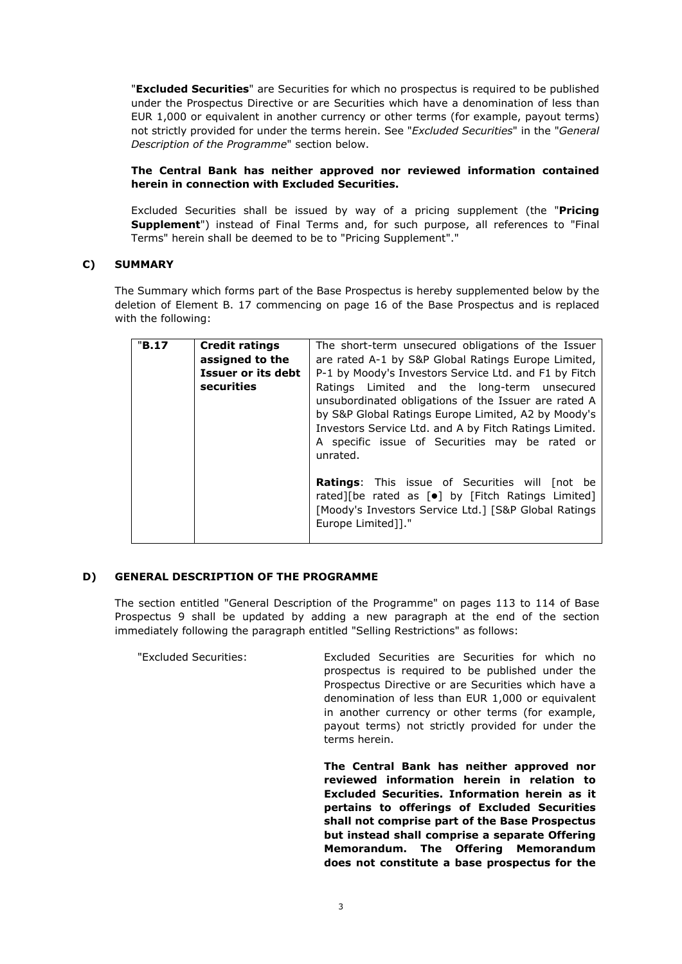"**Excluded Securities**" are Securities for which no prospectus is required to be published under the Prospectus Directive or are Securities which have a denomination of less than EUR 1,000 or equivalent in another currency or other terms (for example, payout terms) not strictly provided for under the terms herein. See "*Excluded Securities*" in the "*General Description of the Programme*" section below.

# **The Central Bank has neither approved nor reviewed information contained herein in connection with Excluded Securities.**

Excluded Securities shall be issued by way of a pricing supplement (the "**Pricing Supplement**") instead of Final Terms and, for such purpose, all references to "Final Terms" herein shall be deemed to be to "Pricing Supplement"."

# **C) SUMMARY**

The Summary which forms part of the Base Prospectus is hereby supplemented below by the deletion of Element B. 17 commencing on page 16 of the Base Prospectus and is replaced with the following:

| "B.17 | <b>Credit ratings</b><br>assigned to the | The short-term unsecured obligations of the Issuer<br>are rated A-1 by S&P Global Ratings Europe Limited,                                                                                                                                                                          |
|-------|------------------------------------------|------------------------------------------------------------------------------------------------------------------------------------------------------------------------------------------------------------------------------------------------------------------------------------|
|       | Issuer or its debt                       | P-1 by Moody's Investors Service Ltd. and F1 by Fitch                                                                                                                                                                                                                              |
|       | securities                               | Ratings Limited and the long-term unsecured<br>unsubordinated obligations of the Issuer are rated A<br>by S&P Global Ratings Europe Limited, A2 by Moody's<br>Investors Service Ltd. and A by Fitch Ratings Limited.<br>A specific issue of Securities may be rated or<br>unrated. |
|       |                                          | Ratings: This issue of Securities will [not be<br>rated][be rated as [ $\bullet$ ] by [Fitch Ratings Limited]<br>[Moody's Investors Service Ltd.] [S&P Global Ratings<br>Europe Limited]]."                                                                                        |

## **D) GENERAL DESCRIPTION OF THE PROGRAMME**

The section entitled "General Description of the Programme" on pages 113 to 114 of Base Prospectus 9 shall be updated by adding a new paragraph at the end of the section immediately following the paragraph entitled "Selling Restrictions" as follows:

"Excluded Securities: Excluded Securities are Securities for which no prospectus is required to be published under the Prospectus Directive or are Securities which have a denomination of less than EUR 1,000 or equivalent in another currency or other terms (for example, payout terms) not strictly provided for under the terms herein.

> **The Central Bank has neither approved nor reviewed information herein in relation to Excluded Securities. Information herein as it pertains to offerings of Excluded Securities shall not comprise part of the Base Prospectus but instead shall comprise a separate Offering Memorandum. The Offering Memorandum does not constitute a base prospectus for the**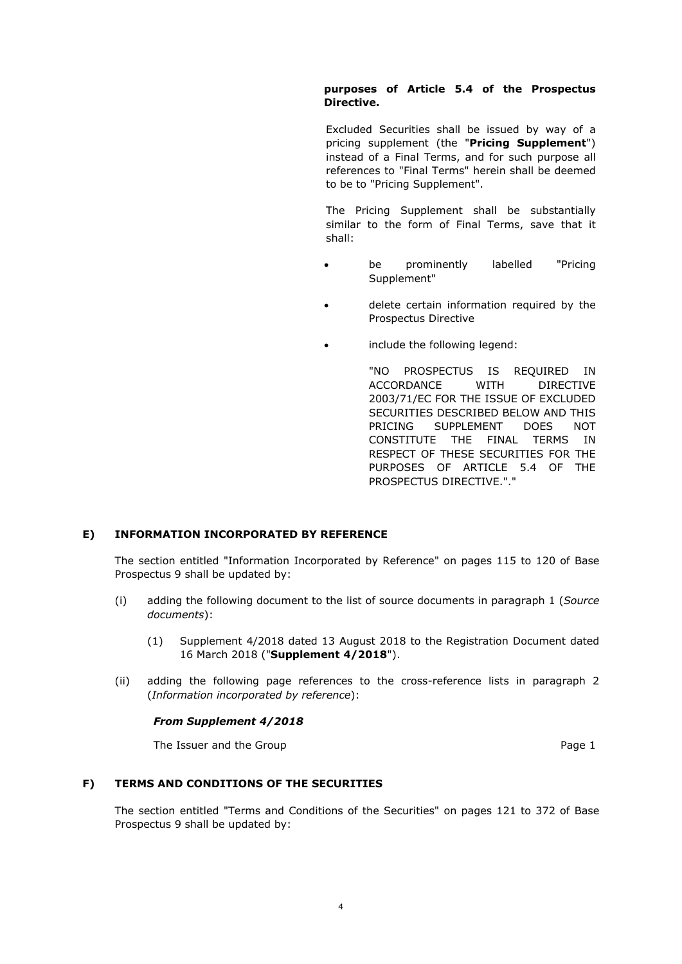# **purposes of Article 5.4 of the Prospectus Directive.**

Excluded Securities shall be issued by way of a pricing supplement (the "**Pricing Supplement**") instead of a Final Terms, and for such purpose all references to "Final Terms" herein shall be deemed to be to "Pricing Supplement".

The Pricing Supplement shall be substantially similar to the form of Final Terms, save that it shall:

- be prominently labelled "Pricing Supplement"
- delete certain information required by the Prospectus Directive
- include the following legend:

"NO PROSPECTUS IS REQUIRED IN ACCORDANCE WITH DIRECTIVE 2003/71/EC FOR THE ISSUE OF EXCLUDED SECURITIES DESCRIBED BELOW AND THIS PRICING SUPPLEMENT DOES NOT CONSTITUTE THE FINAL TERMS IN RESPECT OF THESE SECURITIES FOR THE PURPOSES OF ARTICLE 5.4 OF THE PROSPECTUS DIRECTIVE."."

# **E) INFORMATION INCORPORATED BY REFERENCE**

The section entitled "Information Incorporated by Reference" on pages 115 to 120 of Base Prospectus 9 shall be updated by:

- (i) adding the following document to the list of source documents in paragraph 1 (*Source documents*):
	- (1) Supplement 4/2018 dated 13 August 2018 to the Registration Document dated 16 March 2018 ("**Supplement 4/2018**").
- (ii) adding the following page references to the cross-reference lists in paragraph 2 (*Information incorporated by reference*):

# *From Supplement 4/2018*

The Issuer and the Group **Page 1** and the Group **Page 1** and the Group **Page 1** 

# **F) TERMS AND CONDITIONS OF THE SECURITIES**

The section entitled "Terms and Conditions of the Securities" on pages 121 to 372 of Base Prospectus 9 shall be updated by: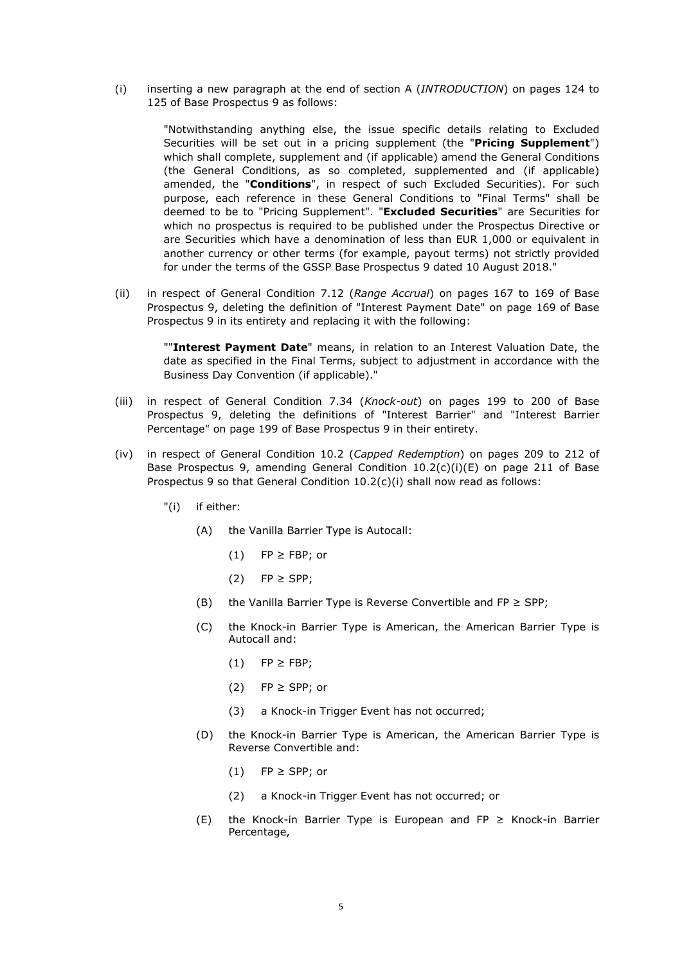(i) inserting a new paragraph at the end of section A (*INTRODUCTION*) on pages 124 to 125 of Base Prospectus 9 as follows:

"Notwithstanding anything else, the issue specific details relating to Excluded Securities will be set out in a pricing supplement (the "**Pricing Supplement**") which shall complete, supplement and (if applicable) amend the General Conditions (the General Conditions, as so completed, supplemented and (if applicable) amended, the "**Conditions**", in respect of such Excluded Securities). For such purpose, each reference in these General Conditions to "Final Terms" shall be deemed to be to "Pricing Supplement". "**Excluded Securities**" are Securities for which no prospectus is required to be published under the Prospectus Directive or are Securities which have a denomination of less than EUR 1,000 or equivalent in another currency or other terms (for example, payout terms) not strictly provided for under the terms of the GSSP Base Prospectus 9 dated 10 August 2018."

(ii) in respect of General Condition 7.12 (*Range Accrual*) on pages 167 to 169 of Base Prospectus 9, deleting the definition of "Interest Payment Date" on page 169 of Base Prospectus 9 in its entirety and replacing it with the following:

""**Interest Payment Date**" means, in relation to an Interest Valuation Date, the date as specified in the Final Terms, subject to adjustment in accordance with the Business Day Convention (if applicable)."

- (iii) in respect of General Condition 7.34 (*Knock-out*) on pages 199 to 200 of Base Prospectus 9, deleting the definitions of "Interest Barrier" and "Interest Barrier Percentage" on page 199 of Base Prospectus 9 in their entirety.
- (iv) in respect of General Condition 10.2 (*Capped Redemption*) on pages 209 to 212 of Base Prospectus 9, amending General Condition 10.2(c)(i)(E) on page 211 of Base Prospectus 9 so that General Condition 10.2(c)(i) shall now read as follows:
	- "(i) if either:
		- (A) the Vanilla Barrier Type is Autocall:
			- $(1)$  FP  $\geq$  FBP; or
			- (2) FP ≥ SPP;
		- (B) the Vanilla Barrier Type is Reverse Convertible and FP  $\geq$  SPP;
		- (C) the Knock-in Barrier Type is American, the American Barrier Type is Autocall and:
			- $(1)$  FP  $\geq$  FBP;
			- (2)  $FP \geq$  SPP; or
			- (3) a Knock-in Trigger Event has not occurred;
		- (D) the Knock-in Barrier Type is American, the American Barrier Type is Reverse Convertible and:
			- $(1)$  FP  $\geq$  SPP; or
			- (2) a Knock-in Trigger Event has not occurred; or
		- (E) the Knock-in Barrier Type is European and FP  $\geq$  Knock-in Barrier Percentage,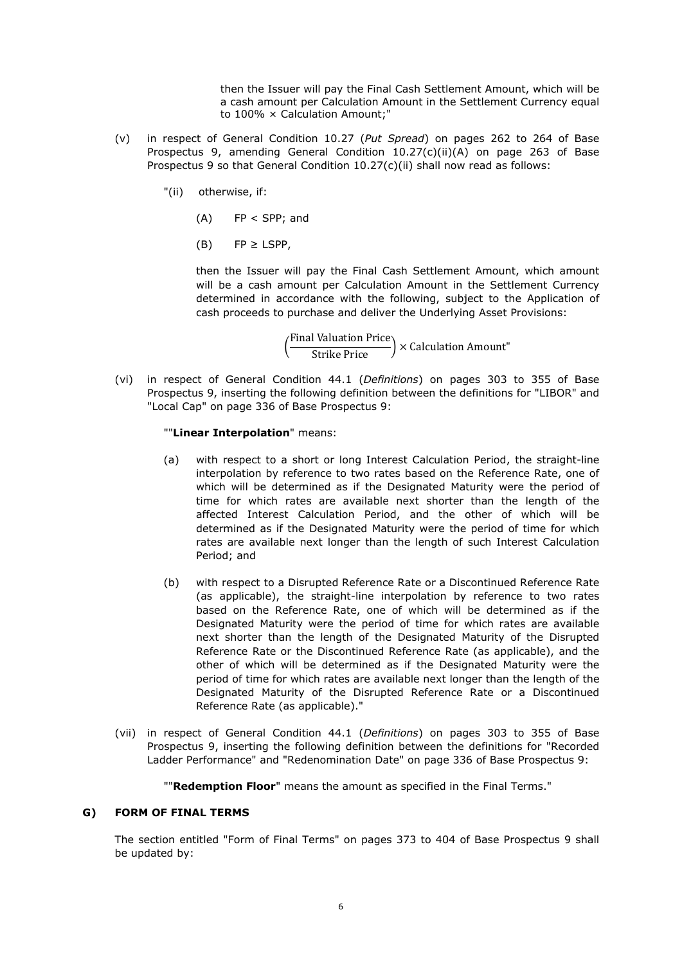then the Issuer will pay the Final Cash Settlement Amount, which will be a cash amount per Calculation Amount in the Settlement Currency equal to 100% × Calculation Amount;"

- (v) in respect of General Condition 10.27 (*Put Spread*) on pages 262 to 264 of Base Prospectus 9, amending General Condition 10.27(c)(ii)(A) on page 263 of Base Prospectus 9 so that General Condition 10.27(c)(ii) shall now read as follows:
	- "(ii) otherwise, if:
		- (A) FP < SPP; and
		- $(B)$  FP  $\geq$  LSPP,

then the Issuer will pay the Final Cash Settlement Amount, which amount will be a cash amount per Calculation Amount in the Settlement Currency determined in accordance with the following, subject to the Application of cash proceeds to purchase and deliver the Underlying Asset Provisions:

 $\left(\frac{\text{Final valuation Price}}{\text{Strike Price}}\right)$  × Calculation Amount"

(vi) in respect of General Condition 44.1 (*Definitions*) on pages 303 to 355 of Base Prospectus 9, inserting the following definition between the definitions for "LIBOR" and "Local Cap" on page 336 of Base Prospectus 9:

#### ""**Linear Interpolation**" means:

- (a) with respect to a short or long Interest Calculation Period, the straight-line interpolation by reference to two rates based on the Reference Rate, one of which will be determined as if the Designated Maturity were the period of time for which rates are available next shorter than the length of the affected Interest Calculation Period, and the other of which will be determined as if the Designated Maturity were the period of time for which rates are available next longer than the length of such Interest Calculation Period; and
- (b) with respect to a Disrupted Reference Rate or a Discontinued Reference Rate (as applicable), the straight-line interpolation by reference to two rates based on the Reference Rate, one of which will be determined as if the Designated Maturity were the period of time for which rates are available next shorter than the length of the Designated Maturity of the Disrupted Reference Rate or the Discontinued Reference Rate (as applicable), and the other of which will be determined as if the Designated Maturity were the period of time for which rates are available next longer than the length of the Designated Maturity of the Disrupted Reference Rate or a Discontinued Reference Rate (as applicable)."
- (vii) in respect of General Condition 44.1 (*Definitions*) on pages 303 to 355 of Base Prospectus 9, inserting the following definition between the definitions for "Recorded Ladder Performance" and "Redenomination Date" on page 336 of Base Prospectus 9:

""**Redemption Floor**" means the amount as specified in the Final Terms."

#### **G) FORM OF FINAL TERMS**

The section entitled "Form of Final Terms" on pages 373 to 404 of Base Prospectus 9 shall be updated by: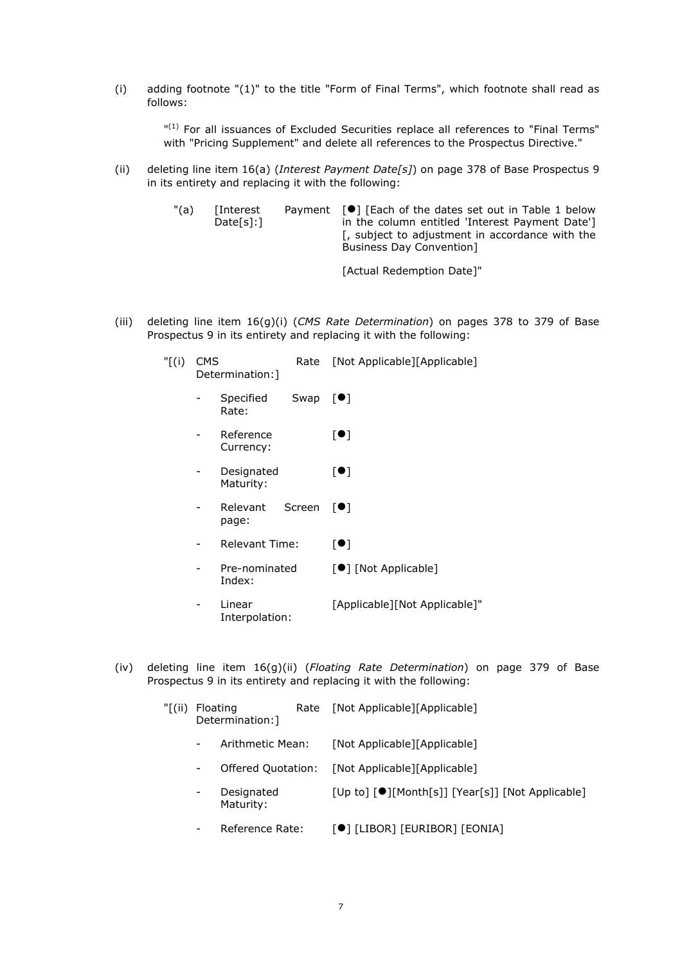(i) adding footnote "(1)" to the title "Form of Final Terms", which footnote shall read as follows:

> " (1) For all issuances of Excluded Securities replace all references to "Final Terms" with "Pricing Supplement" and delete all references to the Prospectus Directive."

(ii) deleting line item 16(a) (*Interest Payment Date[s]*) on page 378 of Base Prospectus 9 in its entirety and replacing it with the following:

| "(a) | [Interest<br>Date[s]: | Payment $[\bullet]$ [Each of the dates set out in Table 1 below<br>in the column entitled 'Interest Payment Date']<br>[, subject to adjustment in accordance with the<br><b>Business Day Convention</b> |
|------|-----------------------|---------------------------------------------------------------------------------------------------------------------------------------------------------------------------------------------------------|
|      |                       | [Actual Redemption Date]"                                                                                                                                                                               |

(iii) deleting line item 16(g)(i) (*CMS Rate Determination*) on pages 378 to 379 of Base Prospectus 9 in its entirety and replacing it with the following:

| $"$ [(i) | <b>CMS</b> | Determination: ]         | Rate   | [Not Applicable][Applicable]  |
|----------|------------|--------------------------|--------|-------------------------------|
|          |            | Specified<br>Rate:       | Swap   | $\lceil \bullet \rceil$       |
|          |            | Reference<br>Currency:   |        | [•]                           |
|          |            | Designated<br>Maturity:  |        | [●]                           |
|          |            | Relevant<br>page:        | Screen | $\blacksquare$                |
|          |            | <b>Relevant Time:</b>    |        | $\lbrack \bullet \rbrack$     |
|          |            | Pre-nominated<br>Index:  |        | [●] [Not Applicable]          |
|          |            | Linear<br>Interpolation: |        | [Applicable][Not Applicable]" |

(iv) deleting line item 16(g)(ii) (*Floating Rate Determination*) on page 379 of Base Prospectus 9 in its entirety and replacing it with the following:

| "[(ii) | Floating<br>Determination: 1 | Rate [Not Applicable][Applicable]                |
|--------|------------------------------|--------------------------------------------------|
|        | Arithmetic Mean:             | [Not Applicable][Applicable]                     |
|        | Offered Quotation:           | [Not Applicable][Applicable]                     |
|        | Designated<br>Maturity:      | [Up to] [●][Month[s]] [Year[s]] [Not Applicable] |
|        | Reference Rate:              | [●] [LIBOR] [EURIBOR] [EONIA]                    |
|        |                              |                                                  |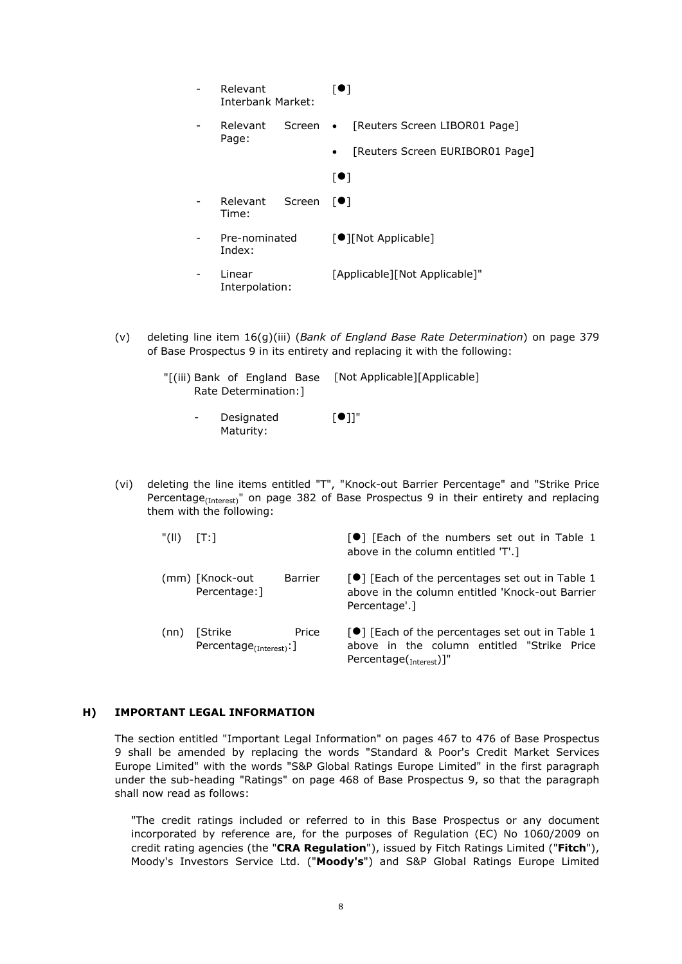|  | Relevant<br><b>Interbank Market:</b> | [●]                                          |
|--|--------------------------------------|----------------------------------------------|
|  | Relevant<br>Screen<br>Page:          | [Reuters Screen LIBOR01 Page]<br>$\bullet$   |
|  |                                      | [Reuters Screen EURIBOR01 Page]<br>$\bullet$ |
|  |                                      | [●]                                          |
|  | Relevant<br>Screen<br>Time:          | $\lceil \bullet \rceil$                      |
|  | Pre-nominated<br>Index:              | [●][Not Applicable]                          |
|  | Linear<br>Interpolation:             | [Applicable][Not Applicable]"                |

- (v) deleting line item 16(g)(iii) (*Bank of England Base Rate Determination*) on page 379 of Base Prospectus 9 in its entirety and replacing it with the following:
	- "[(iii) Bank of England Base [Not Applicable][Applicable] Rate Determination:]
		- **Designated** Maturity:  $[①]$ ]"
- (vi) deleting the line items entitled "T", "Knock-out Barrier Percentage" and "Strike Price Percentage<sub>(Interest)</sub>" on page 382 of Base Prospectus 9 in their entirety and replacing them with the following:
	- "(II)  $[T:]$  [Cach of the numbers set out in Table 1 above in the column entitled 'T'.] (mm) [Knock-out Barrier Percentage:] [<sup>0</sup>] [Each of the percentages set out in Table 1 above in the column entitled 'Knock-out Barrier Percentage'.] (nn) [Strike Price Percentage<sub>(Interest)</sub>: ] [<sup>0</sup>] [Each of the percentages set out in Table 1 above in the column entitled "Strike Price

Percentage(<sub>Interest</sub>)]"

## **H) IMPORTANT LEGAL INFORMATION**

The section entitled "Important Legal Information" on pages 467 to 476 of Base Prospectus 9 shall be amended by replacing the words "Standard & Poor's Credit Market Services Europe Limited" with the words "S&P Global Ratings Europe Limited" in the first paragraph under the sub-heading "Ratings" on page 468 of Base Prospectus 9, so that the paragraph shall now read as follows:

"The credit ratings included or referred to in this Base Prospectus or any document incorporated by reference are, for the purposes of Regulation (EC) No 1060/2009 on credit rating agencies (the "**CRA Regulation**"), issued by Fitch Ratings Limited ("**Fitch**"), Moody's Investors Service Ltd. ("**Moody's**") and S&P Global Ratings Europe Limited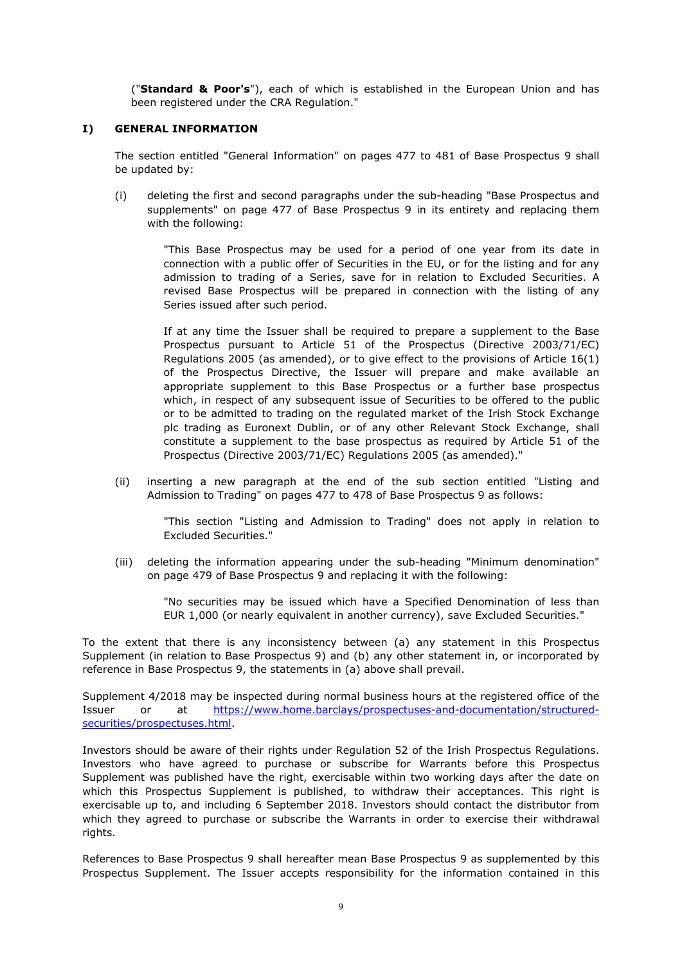("**Standard & Poor's**"), each of which is established in the European Union and has been registered under the CRA Regulation."

## **I) GENERAL INFORMATION**

The section entitled "General Information" on pages 477 to 481 of Base Prospectus 9 shall be updated by:

(i) deleting the first and second paragraphs under the sub-heading "Base Prospectus and supplements" on page 477 of Base Prospectus 9 in its entirety and replacing them with the following:

> "This Base Prospectus may be used for a period of one year from its date in connection with a public offer of Securities in the EU, or for the listing and for any admission to trading of a Series, save for in relation to Excluded Securities. A revised Base Prospectus will be prepared in connection with the listing of any Series issued after such period.

> If at any time the Issuer shall be required to prepare a supplement to the Base Prospectus pursuant to Article 51 of the Prospectus (Directive 2003/71/EC) Regulations 2005 (as amended), or to give effect to the provisions of Article 16(1) of the Prospectus Directive, the Issuer will prepare and make available an appropriate supplement to this Base Prospectus or a further base prospectus which, in respect of any subsequent issue of Securities to be offered to the public or to be admitted to trading on the regulated market of the Irish Stock Exchange plc trading as Euronext Dublin, or of any other Relevant Stock Exchange, shall constitute a supplement to the base prospectus as required by Article 51 of the Prospectus (Directive 2003/71/EC) Regulations 2005 (as amended)."

(ii) inserting a new paragraph at the end of the sub section entitled "Listing and Admission to Trading" on pages 477 to 478 of Base Prospectus 9 as follows:

"This section "Listing and Admission to Trading" does not apply in relation to Excluded Securities."

(iii) deleting the information appearing under the sub-heading "Minimum denomination" on page 479 of Base Prospectus 9 and replacing it with the following:

> "No securities may be issued which have a Specified Denomination of less than EUR 1,000 (or nearly equivalent in another currency), save Excluded Securities."

To the extent that there is any inconsistency between (a) any statement in this Prospectus Supplement (in relation to Base Prospectus 9) and (b) any other statement in, or incorporated by reference in Base Prospectus 9, the statements in (a) above shall prevail.

Supplement 4/2018 may be inspected during normal business hours at the registered office of the [Issuer or at https://www.home.barclays/prospectuses-and-documentation/structured](https://www.home.barclays/prospectuses-and-documentation/structured-securities/prospectuses.html)securities/prospectuses.html.

Investors should be aware of their rights under Regulation 52 of the Irish Prospectus Regulations. Investors who have agreed to purchase or subscribe for Warrants before this Prospectus Supplement was published have the right, exercisable within two working days after the date on which this Prospectus Supplement is published, to withdraw their acceptances. This right is exercisable up to, and including 6 September 2018. Investors should contact the distributor from which they agreed to purchase or subscribe the Warrants in order to exercise their withdrawal rights.

References to Base Prospectus 9 shall hereafter mean Base Prospectus 9 as supplemented by this Prospectus Supplement. The Issuer accepts responsibility for the information contained in this